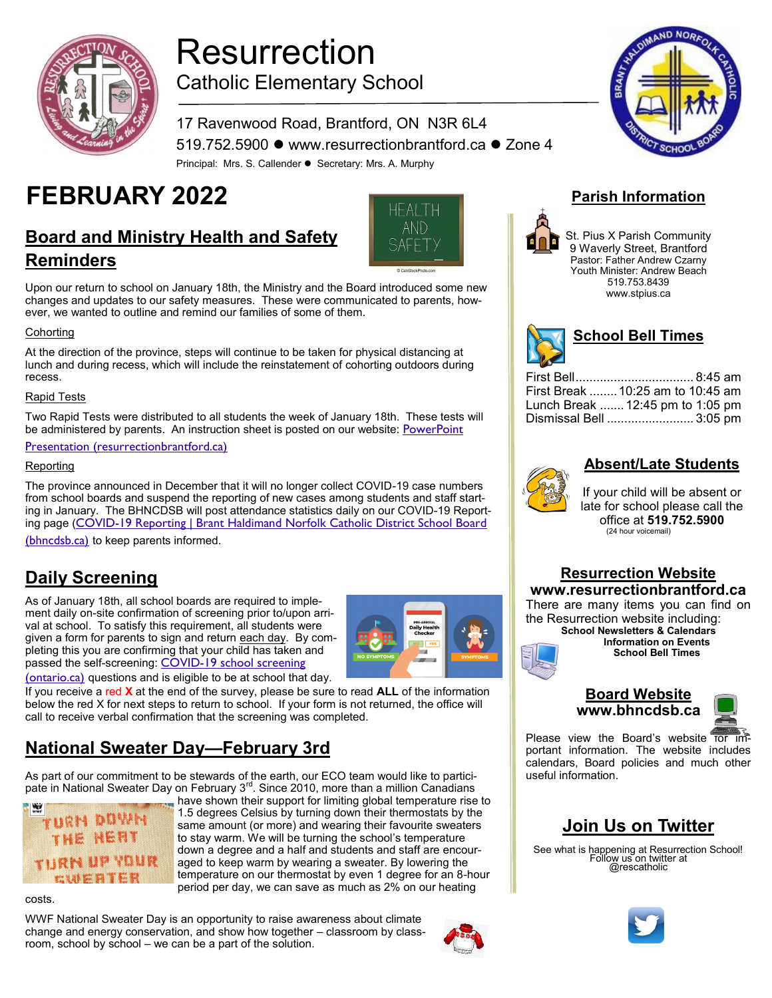

# Resurrection Catholic Elementary School

#### 17 Ravenwood Road, Brantford, ON N3R 6L4 519.752.5900 ⚫ www.resurrectionbrantford.ca ⚫ Zone 4 Principal: Mrs. S. Callender ⚫ Secretary: Mrs. A. Murphy

# **FEBRUARY 2022 Parish Information**

# **Board and Ministry Health and Safety Reminders**



Upon our return to school on January 18th, the Ministry and the Board introduced some new changes and updates to our safety measures. These were communicated to parents, however, we wanted to outline and remind our families of some of them.

#### **Cohorting**

At the direction of the province, steps will continue to be taken for physical distancing at lunch and during recess, which will include the reinstatement of cohorting outdoors during recess.

#### Rapid Tests

Two Rapid Tests were distributed to all students the week of January 18th. These tests will be administered by parents. An instruction sheet is posted on our website: PowerPoint

#### [Presentation \(resurrectionbrantford.ca\)](http://www.resurrectionbrantford.ca/sites/content/files/school_resources/BTNX%20Self%20Screening%20Instructions-EN.pdf)

#### **Reporting**

The province announced in December that it will no longer collect COVID-19 case numbers from school boards and suspend the reporting of new cases among students and staff starting in January. The BHNCDSB will post attendance statistics daily on our COVID-19 Reporting page (COVID-19 Reporting | Brant Haldimand Norfolk Catholic District School Board

[\(bhncdsb.ca\)](http://www.bhncdsb.ca/page/covid-19-reporting) to keep parents informed.

### **Daily Screening**

As of January 18th, all school boards are required to implement daily on-site confirmation of screening prior to/upon arrival at school. To satisfy this requirement, all students were given a form for parents to sign and return each day. By completing this you are confirming that your child has taken and passed the self-screening: COVID-19 school screening



[\(ontario.ca\)](https://covid-19.ontario.ca/school-screening/) questions and is eligible to be at school that day.

If you receive a red **X** at the end of the survey, please be sure to read **ALL** of the information below the red X for next steps to return to school. If your form is not returned, the office will call to receive verbal confirmation that the screening was completed.

# **National Sweater Day—February 3rd**

As part of our commitment to be stewards of the earth, our ECO team would like to participate in National Sweater Day on February  $3<sup>rd</sup>$ . Since 2010, more than a million Canadians



have shown their support for limiting global temperature rise to 1.5 degrees Celsius by turning down their thermostats by the same amount (or more) and wearing their favourite sweaters to stay warm. We will be turning the school's temperature down a degree and a half and students and staff are encouraged to keep warm by wearing a sweater. By lowering the temperature on our thermostat by even 1 degree for an 8-hour period per day, we can save as much as 2% on our heating

costs.

WWF National Sweater Day is an opportunity to raise awareness about climate change and energy conservation, and show how together – classroom by classroom, school by school – we can be a part of the solution.







St. Pius X Parish Community 9 Waverly Street, Brantford Pastor: Father Andrew Czarny Youth Minister: Andrew Beach 519.753.8439 www.stpius.ca

| School Bell Times |  |
|-------------------|--|
|                   |  |

| First Break  10:25 am to 10:45 am |  |
|-----------------------------------|--|
| Lunch Break  12:45 pm to 1:05 pm  |  |
| Dismissal Bell  3:05 pm           |  |
|                                   |  |

#### **Absent/Late Students**



If your child will be absent or late for school please call the office at **519.752.5900** (24 hour voicemail)

#### **Resurrection Website www.resurrectionbrantford.ca**

There are many items you can find on the Resurrection website including: **School Newsletters & Calendars Information on Events School Bell Times**



#### **Board Website www.bhncdsb.ca**



Please view the Board's website for important information. The website includes calendars, Board policies and much other useful information.

# **Join Us on Twitter**

See what is happening at Resurrection School! Follow us on twitter at @rescatholic

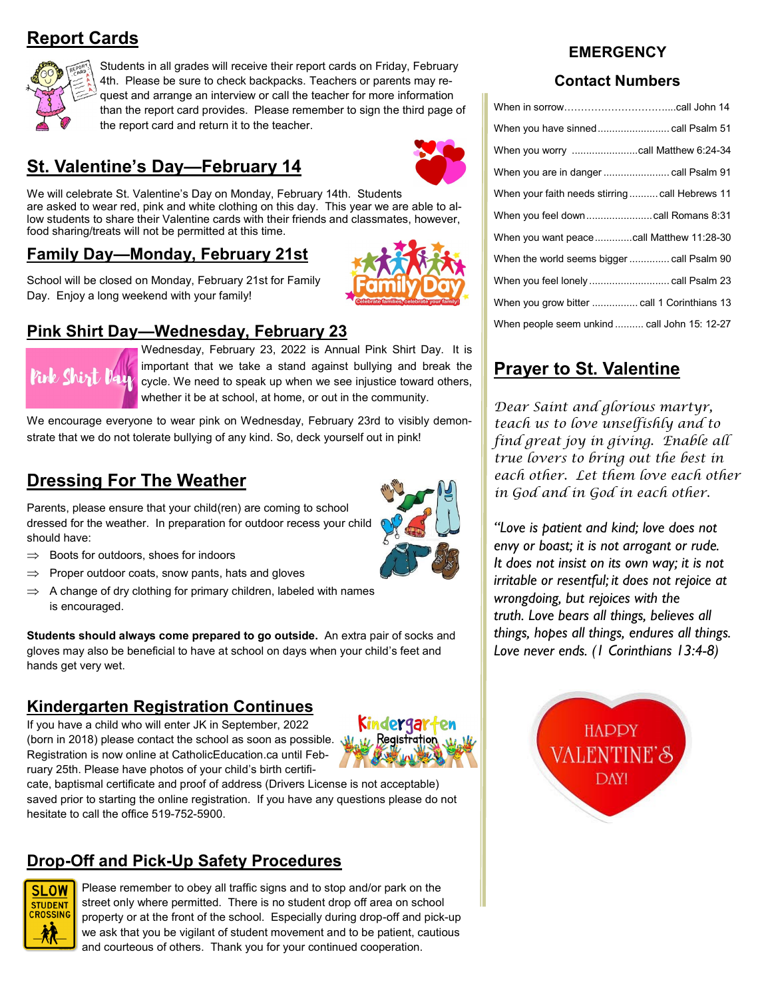# **Report Cards**



Students in all grades will receive their report cards on Friday, February 4th. Please be sure to check backpacks. Teachers or parents may request and arrange an interview or call the teacher for more information than the report card provides. Please remember to sign the third page of the report card and return it to the teacher.

# **St. Valentine's Day—February 14**

We will celebrate St. Valentine's Day on Monday, February 14th. Students are asked to wear red, pink and white clothing on this day. This year we are able to allow students to share their Valentine cards with their friends and classmates, however, food sharing/treats will not be permitted at this time.

#### **Family Day—Monday, February 21st**

School will be closed on Monday, February 21st for Family Day. Enjoy a long weekend with your family!

#### **Pink Shirt Day—Wednesday, February 23**



Wednesday, February 23, 2022 is Annual Pink Shirt Day. It is important that we take a stand against bullying and break the cycle. We need to speak up when we see injustice toward others, whether it be at school, at home, or out in the community.

We encourage everyone to wear pink on Wednesday, February 23rd to visibly demonstrate that we do not tolerate bullying of any kind. So, deck yourself out in pink!

# **Dressing For The Weather**

Parents, please ensure that your child(ren) are coming to school dressed for the weather. In preparation for outdoor recess your child should have:

- $\Rightarrow$  Boots for outdoors, shoes for indoors
- Proper outdoor coats, snow pants, hats and gloves
- $\Rightarrow$  A change of dry clothing for primary children, labeled with names is encouraged.

**Students should always come prepared to go outside.** An extra pair of socks and gloves may also be beneficial to have at school on days when your child's feet and hands get very wet.

#### **Kindergarten Registration Continues**

If you have a child who will enter JK in September, 2022 (born in 2018) please contact the school as soon as possible. Registration is now online at CatholicEducation.ca until February 25th. Please have photos of your child's birth certifi-



cate, baptismal certificate and proof of address (Drivers License is not acceptable) saved prior to starting the online registration. If you have any questions please do not hesitate to call the office 519-752-5900.

#### **Drop-Off and Pick-Up Safety Procedures**



Please remember to obey all traffic signs and to stop and/or park on the street only where permitted. There is no student drop off area on school property or at the front of the school. Especially during drop-off and pick-up we ask that you be vigilant of student movement and to be patient, cautious and courteous of others. Thank you for your continued cooperation.

#### **EMERGENCY**

#### **Contact Numbers**

| When your faith needs stirring call Hebrews 11 |
|------------------------------------------------|
|                                                |
| When you want peacecall Matthew 11:28-30       |
| When the world seems bigger  call Psalm 90     |
|                                                |
|                                                |
| When people seem unkind call John 15: 12-27    |

# **Prayer to St. Valentine**

*Dear Saint and glorious martyr, teach us to love unselfishly and to find great joy in giving. Enable all true lovers to bring out the best in each other. Let them love each other in God and in God in each other.*

*"Love is patient and kind; love does not envy or boast; it is not arrogant or rude. It does not insist on its own way; it is not irritable or resentful; it does not rejoice at wrongdoing, but rejoices with the truth. Love bears all things, believes all things, hopes all things, endures all things. Love never ends. (1 Corinthians 13:4-8)*